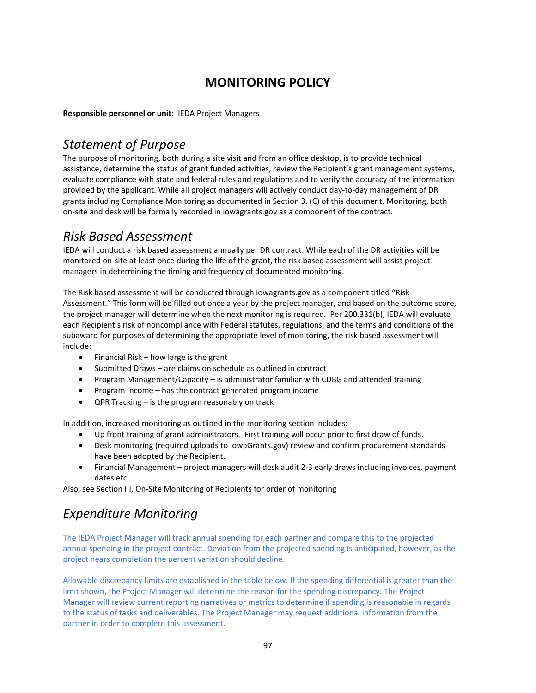# **MONITORING POLICY**

**Responsible personnel or unit:** IEDA Project Managers

#### *Statement of Purpose*

The purpose of monitoring, both during a site visit and from an office desktop, is to provide technical assistance, determine the status of grant funded activities, review the Recipient's grant management systems, evaluate compliance with state and federal rules and regulations and to verify the accuracy of the information provided by the applicant. While all project managers will actively conduct day‐to‐day management of DR grants including Compliance Monitoring as documented in Section 3. (C) of this document, Monitoring, both on‐site and desk will be formally recorded in iowagrants.gov as a component of the contract.

#### *Risk Based Assessment*

IEDA will conduct a risk based assessment annually per DR contract. While each of the DR activities will be monitored on‐site at least once during the life of the grant, the risk based assessment will assist project managers in determining the timing and frequency of documented monitoring.

The Risk based assessment will be conducted through iowagrants.gov as a component titled "Risk Assessment." This form will be filled out once a year by the project manager, and based on the outcome score, the project manager will determine when the next monitoring is required. Per 200.331(b), IEDA will evaluate each Recipient's risk of noncompliance with Federal statutes, regulations, and the terms and conditions of the subaward for purposes of determining the appropriate level of monitoring, the risk based assessment will include:

- $\bullet$  Financial Risk how large is the grant
- Submitted Draws are claims on schedule as outlined in contract
- Program Management/Capacity is administrator familiar with CDBG and attended training
- Program Income has the contract generated program income
- QPR Tracking is the program reasonably on track

In addition, increased monitoring as outlined in the monitoring section includes:

- Up front training of grant administrators. First training will occur prior to first draw of funds.
- Desk monitoring (required uploads to IowaGrants.gov) review and confirm procurement standards have been adopted by the Recipient.
- Financial Management project managers will desk audit 2-3 early draws including invoices, payment dates etc.

Also, see Section III, On‐Site Monitoring of Recipients for order of monitoring

# *Expenditure Monitoring*

The IEDA Project Manager will track annual spending for each partner and compare this to the projected annual spending in the project contract. Deviation from the projected spending is anticipated, however, as the project nears completion the percent variation should decline.

Allowable discrepancy limits are established in the table below. If the spending differential is greater than the limit shown, the Project Manager will determine the reason for the spending discrepancy. The Project Manager will review current reporting narratives or metrics to determine if spending is reasonable in regards to the status of tasks and deliverables. The Project Manager may request additional information from the partner in order to complete this assessment.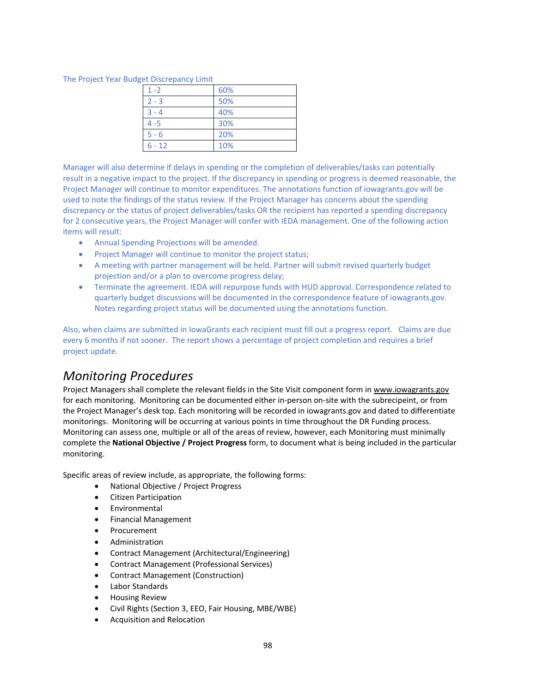The Project Year Budget Discrepancy Limit

| 60% |
|-----|
| 50% |
| 40% |
| 30% |
| 20% |
| 10% |
|     |

Manager will also determine if delays in spending or the completion of deliverables/tasks can potentially result in a negative impact to the project. If the discrepancy in spending or progress is deemed reasonable, the Project Manager will continue to monitor expenditures. The annotations function of iowagrants.gov will be used to note the findings of the status review. If the Project Manager has concerns about the spending discrepancy or the status of project deliverables/tasks OR the recipient has reported a spending discrepancy for 2 consecutive years, the Project Manager will confer with IEDA management. One of the following action items will result:

- Annual Spending Projections will be amended.
- Project Manager will continue to monitor the project status;
- A meeting with partner management will be held. Partner will submit revised quarterly budget projection and/or a plan to overcome progress delay;
- Terminate the agreement. IEDA will repurpose funds with HUD approval. Correspondence related to quarterly budget discussions will be documented in the correspondence feature of iowagrants.gov. Notes regarding project status will be documented using the annotations function.

Also, when claims are submitted in IowaGrants each recipient must fill out a progress report. Claims are due every 6 months if not sooner. The report shows a percentage of project completion and requires a brief project update.

#### *Monitoring Procedures*

Project Managers shall complete the relevant fields in the Site Visit component form in www.iowagrants.gov for each monitoring. Monitoring can be documented either in-person on-site with the subrecipeint, or from the Project Manager's desk top. Each monitoring will be recorded in iowagrants.gov and dated to differentiate monitorings. Monitoring will be occurring at various points in time throughout the DR Funding process. Monitoring can assess one, multiple or all of the areas of review, however, each Monitoring must minimally complete the **National Objective / Project Progress** form, to document what is being included in the particular monitoring.

Specific areas of review include, as appropriate, the following forms:

- National Objective / Project Progress
- Citizen Participation
- Environmental
- Financial Management
- Procurement
- Administration
- Contract Management (Architectural/Engineering)
- Contract Management (Professional Services)
- Contract Management (Construction)
- Labor Standards
- **•** Housing Review
- Civil Rights (Section 3, EEO, Fair Housing, MBE/WBE)
- Acquisition and Relocation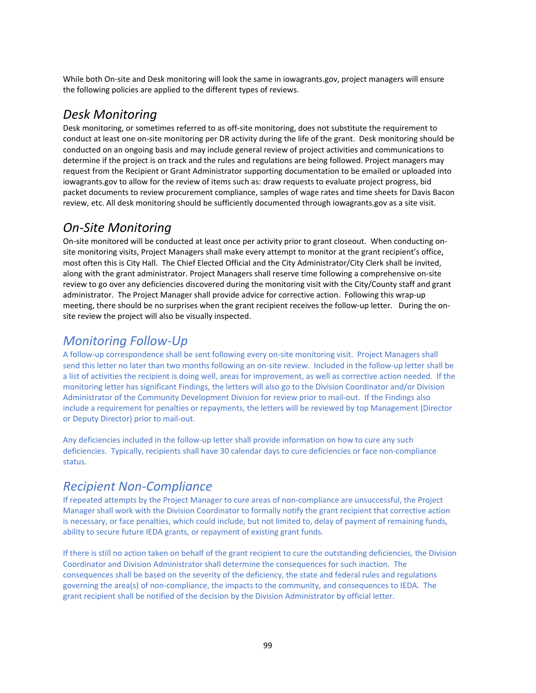While both On-site and Desk monitoring will look the same in iowagrants.gov, project managers will ensure the following policies are applied to the different types of reviews.

#### *Desk Monitoring*

Desk monitoring, or sometimes referred to as off-site monitoring, does not substitute the requirement to conduct at least one on-site monitoring per DR activity during the life of the grant. Desk monitoring should be conducted on an ongoing basis and may include general review of project activities and communications to determine if the project is on track and the rules and regulations are being followed. Project managers may request from the Recipient or Grant Administrator supporting documentation to be emailed or uploaded into iowagrants.gov to allow for the review of items such as: draw requests to evaluate project progress, bid packet documents to review procurement compliance, samples of wage rates and time sheets for Davis Bacon review, etc. All desk monitoring should be sufficiently documented through iowagrants.gov as a site visit.

## *On‐Site Monitoring*

On-site monitored will be conducted at least once per activity prior to grant closeout. When conducting onsite monitoring visits, Project Managers shall make every attempt to monitor at the grant recipient's office, most often this is City Hall. The Chief Elected Official and the City Administrator/City Clerk shall be invited, along with the grant administrator. Project Managers shall reserve time following a comprehensive on‐site review to go over any deficiencies discovered during the monitoring visit with the City/County staff and grant administrator. The Project Manager shall provide advice for corrective action. Following this wrap‐up meeting, there should be no surprises when the grant recipient receives the follow-up letter. During the onsite review the project will also be visually inspected.

## *Monitoring Follow‐Up*

A follow‐up correspondence shall be sent following every on‐site monitoring visit. Project Managers shall send this letter no later than two months following an on-site review. Included in the follow-up letter shall be a list of activities the recipient is doing well, areas for improvement, as well as corrective action needed. If the monitoring letter has significant Findings, the letters will also go to the Division Coordinator and/or Division Administrator of the Community Development Division for review prior to mail‐out. If the Findings also include a requirement for penalties or repayments, the letters will be reviewed by top Management (Director or Deputy Director) prior to mail‐out.

Any deficiencies included in the follow-up letter shall provide information on how to cure any such deficiencies. Typically, recipients shall have 30 calendar days to cure deficiencies or face non‐compliance status.

# *Recipient Non‐Compliance*

If repeated attempts by the Project Manager to cure areas of non‐compliance are unsuccessful, the Project Manager shall work with the Division Coordinator to formally notify the grant recipient that corrective action is necessary, or face penalties, which could include, but not limited to, delay of payment of remaining funds, ability to secure future IEDA grants, or repayment of existing grant funds.

If there is still no action taken on behalf of the grant recipient to cure the outstanding deficiencies, the Division Coordinator and Division Administrator shall determine the consequences for such inaction. The consequences shall be based on the severity of the deficiency, the state and federal rules and regulations governing the area(s) of non-compliance, the impacts to the community, and consequences to IEDA. The grant recipient shall be notified of the decision by the Division Administrator by official letter.